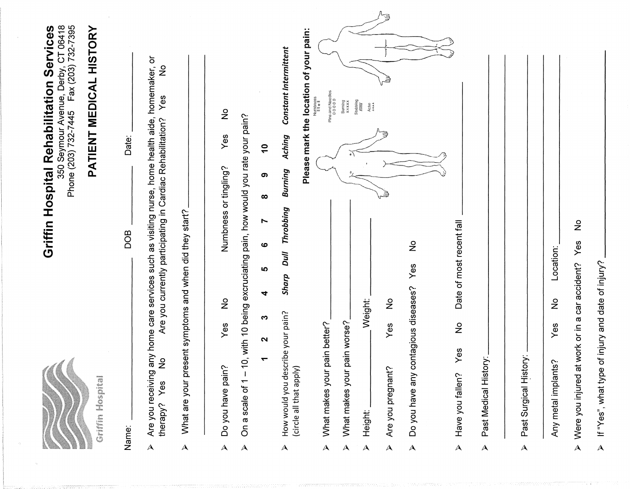|                         | Griffin Mospieal                                                                     | 350 Seymour Avenue, Derby, CT 06418<br>Phone (203) 732-7445  Fax (203) 732-7395<br>Griffin Hospital Rehabilitation Services<br>PATIENT MEDICAL HISTORY                                 |
|-------------------------|--------------------------------------------------------------------------------------|----------------------------------------------------------------------------------------------------------------------------------------------------------------------------------------|
|                         | Name:                                                                                | Date:<br><b>BOD</b>                                                                                                                                                                    |
| $\blacktriangle$        | $\circ$<br>Z<br>Yes<br>therapy?                                                      | Are you receiving any home care services such as visiting nurse, home health aide, homemaker, or<br>$\frac{1}{2}$<br>Yes<br>Are you currently participating in Cardiac Rehabilitation? |
| $\mathbf{\lambda}$      | What are your present symptoms and when did they start?                              |                                                                                                                                                                                        |
| $\blacktriangle$        | $\frac{1}{2}$<br>Yes<br>Do you have pain?                                            | $\stackrel{\mathtt{o}}{z}$<br>Yes<br>Numbness or tingling?                                                                                                                             |
| $\Delta$                | On a scale of 1 – 10, with 10 being excruciating pain, how would you rate your pain? |                                                                                                                                                                                        |
|                         | Ю<br>4<br>S<br>2<br>٣                                                                | $\mathbf{r}$<br>ග<br>$\infty$<br>Ņ<br>ဖ                                                                                                                                                |
| $\blacktriangle$        | <b>Dull</b><br>Sharp<br>How would you describe your pain?<br>(circle all that apply) | Please mark the location of your pain:<br>Constant Intermittent<br>Aching<br>Burning<br><b>Throbbing</b>                                                                               |
| $\blacktriangle$        | What makes your pain better?                                                         | Pins and Needles<br>00000<br>$\begin{array}{c} \text{Numphess} \\ \text{if } \mathbf{u} \parallel \mathbf{u} \end{array}$                                                              |
| $\blacktriangle$        | ain worse?<br>What makes your p                                                      | Surning<br>xxxxx                                                                                                                                                                       |
| $\blacktriangle$        | Weight:<br>Height:                                                                   | Stabbing<br>$\frac{HHH}{H}$<br>Ache                                                                                                                                                    |
| $\blacktriangle$        | ş<br>Yes<br>Are you pregnant?                                                        | ₿<br>₿                                                                                                                                                                                 |
| $\blacktriangle$        | Yes<br>Do you have any contagious diseases?                                          | $\frac{1}{2}$                                                                                                                                                                          |
| $\mathsf{A}\phantom{1}$ | Date of most recent fall<br>$\frac{\circ}{\mathsf{Z}}$<br>Yes<br>Have you fallen?    |                                                                                                                                                                                        |
| $\blacktriangle$        | Past Medical History:                                                                |                                                                                                                                                                                        |
| $\blacktriangle$        | Past Surgical History:                                                               |                                                                                                                                                                                        |
|                         | Location:<br>$\overset{\circ}{\mathsf{z}}$<br>Yes<br>Any metal implants?             |                                                                                                                                                                                        |
| $\blacktriangle$        | Were you injured at work or in a car accident?                                       | $\frac{1}{2}$<br>Yes                                                                                                                                                                   |
| $\blacktriangle$        | of injury and date of injury?<br>If "Yes", what type                                 |                                                                                                                                                                                        |